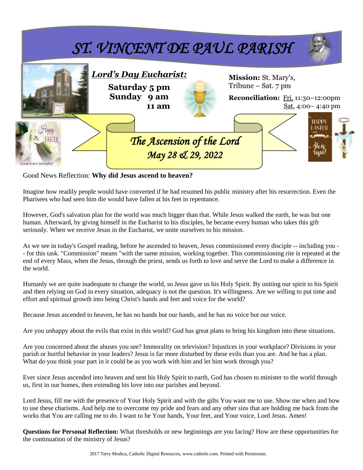

Good News Reflection: **Why did Jesus ascend to heaven?**

Imagine how readily people would have converted if he had resumed his public ministry after his resurrection. Even the Pharisees who had seen him die would have fallen at his feet in repentance.

However, God's salvation plan for the world was much bigger than that. While Jesus walked the earth, he was but one human. Afterward, by giving himself in the Eucharist to his disciples, he became every human who takes this gift seriously. When we receive Jesus in the Eucharist, we unite ourselves to his mission.

As we see in today's Gospel reading, before he ascended to heaven, Jesus commissioned every disciple -- including you - - for this task. "Commission" means "with the same mission, working together. This commissioning rite is repeated at the end of every Mass, when the Jesus, through the priest, sends us forth to love and serve the Lord to make a difference in the world.

Humanly we are quite inadequate to change the world, so Jesus gave us his Holy Spirit. By uniting our spirit to his Spirit and then relying on God in every situation, adequacy is not the question. It's willingness. Are we willing to put time and effort and spiritual growth into being Christ's hands and feet and voice for the world?

Because Jesus ascended to heaven, he has no hands but our hands, and he has no voice but our voice.

Are you unhappy about the evils that exist in this world? God has great plans to bring his kingdom into these situations.

Are you concerned about the abuses you see? Immorality on television? Injustices in your workplace? Divisions in your parish or hurtful behavior in your leaders? Jesus is far more disturbed by these evils than you are. And he has a plan. What do you think your part in it could be as you work with him and let him work through you?

Ever since Jesus ascended into heaven and sent his Holy Spirit to earth, God has chosen to minister to the world through us, first in our homes, then extending his love into our parishes and beyond.

Lord Jesus, fill me with the presence of Your Holy Spirit and with the gifts You want me to use. Show me when and how to use these charisms. And help me to overcome my pride and fears and any other sins that are holding me back from the works that You are calling me to do. I want to be Your hands, Your feet, and Your voice, Lord Jesus. Amen!

**Questions for Personal Reflection:** What thresholds or new beginnings are you facing? How are these opportunities for the continuation of the ministry of Jesus?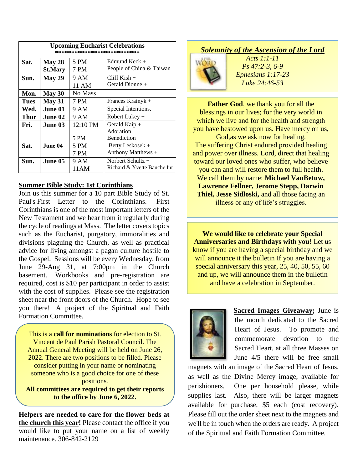| <b>Upcoming Eucharist Celebrations</b><br>************************** |                |          |                             |  |  |
|----------------------------------------------------------------------|----------------|----------|-----------------------------|--|--|
| Sat.                                                                 | May 28         | 5 PM     | Edmund Keck $+$             |  |  |
|                                                                      | <b>St.Mary</b> | 7 PM     | People of China & Taiwan    |  |  |
| Sun.                                                                 | May 29         | 9 AM     | Cliff Kish $+$              |  |  |
|                                                                      |                | 11 AM    | Gerald Dionne +             |  |  |
| Mon.                                                                 | May 30         | No Mass  |                             |  |  |
| <b>Tues</b>                                                          | <b>May 31</b>  | 7 PM     | Frances Krainyk +           |  |  |
| Wed.                                                                 | June 01        | 9 AM     | Special Intentions.         |  |  |
| Thur                                                                 | June 02        | 9 AM     | Robert Lukey $+$            |  |  |
| Fri.                                                                 | June 03.       | 12:10 PM | Gerald Kaip $+$             |  |  |
|                                                                      |                |          | Adoration                   |  |  |
|                                                                      |                | 5 PM     | Benediction                 |  |  |
| Sat.                                                                 | June 04        | 5 PM     | Betty Leskosek +            |  |  |
|                                                                      |                | 7 PM     | Anthony Matthews +          |  |  |
| Sun.                                                                 | June 05        | 9 AM     | Norbert Schultz $+$         |  |  |
|                                                                      |                | 11 A M   | Richard & Yvette Bauche Int |  |  |

### **Summer Bible Study: 1st Corinthians**

Join us this summer for a 10 part Bible Study of St. Paul's First Letter to the Corinthians. First Corinthians is one of the most important letters of the New Testament and we hear from it regularly during the cycle of readings at Mass. The letter covers topics such as the Eucharist, purgatory, immoralities and divisions plaguing the Church, as well as practical advice for living amongst a pagan culture hostile to the Gospel. Sessions will be every Wednesday, from June 29-Aug 31, at 7:00pm in the Church basement. Workbooks and pre-registration are required, cost is \$10 per participant in order to assist with the cost of supplies. Please see the registration sheet near the front doors of the Church. Hope to see you there! A project of the Spiritual and Faith Formation Committee.

This is a **call for nominations** for election to St. Vincent de Paul Parish Pastoral Council. The Annual General Meeting will be held on June 26, 2022. There are two positions to be filled. Please consider putting in your name or nominating someone who is a good choice for one of these positions.

**All committees are required to get their reports to the office by June 6, 2022.**

**Helpers are needed to care for the flower beds at the church this year!** Please contact the office if you would like to put your name on a list of weekly maintenance. 306-842-2129

# *Solemnity of the Ascension of the Lord*



*Acts 1:1-11 Ps 47:2-3, 6-9 Ephesians 1:17-23 Luke 24:46-53*

**Father God**, we thank you for all the blessings in our lives; for the very world in which we live and for the health and strength you have bestowed upon us. Have mercy on us,

God,as we ask now for healing. The suffering Christ endured provided healing and power over illness. Lord, direct that healing toward our loved ones who suffer, who believe you can and will restore them to full health. We call them by name: **Michael VanBetuw, Lawrence Fellner, Jerome Stepp, Darwin Thiel, Jesse Sidloski,** and all those facing an illness or any of life's struggles.

**We would like to celebrate your Special Anniversaries and Birthdays with you!** Let us know if you are having a special birthday and we will announce it the bulletin If you are having a special anniversary this year, 25, 40, 50, 55, 60 and up, we will announce them in the bulletin and have a celebration in September.



**Sacred Images Giveaway;** June is the month dedicated to the Sacred Heart of Jesus. To promote and commemorate devotion to the Sacred Heart, at all three Masses on June 4/5 there will be free small

magnets with an image of the Sacred Heart of Jesus, as well as the Divine Mercy image, available for parishioners. One per household please, while supplies last. Also, there will be larger magnets available for purchase, \$5 each (cost recovery). Please fill out the order sheet next to the magnets and we'll be in touch when the orders are ready. A project of the Spiritual and Faith Formation Committee.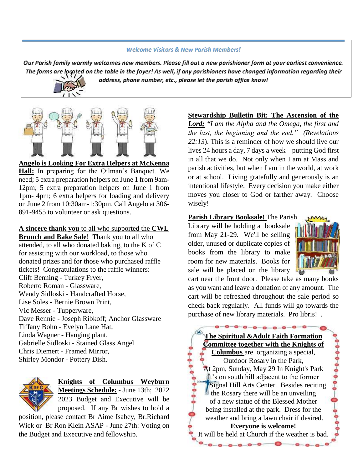#### **Welcome Visitors & New Parish Members!**

Our Parish family warmly welcomes new members. Please fill out a new parishioner form at your earliest convenience. The forms are located on the table in the foyer! As well, if any parishioners have changed information regarding their address, phone number, etc., please let the parish office know!



**Angelo is Looking For Extra Helpers at McKenna Hall:** In preparing for the Oilman's Banquet. We need; 5 extra preparation helpers on June 1 from 9am-12pm; 5 extra preparation helpers on June 1 from 1pm- 4pm; 6 extra helpers for loading and delivery on June 2 from 10:30am-1:30pm. Call Angelo at 306- 891-9455 to volunteer or ask questions.

**A sincere thank you** to all who supported the **CWL Brunch and Bake Sale**! Thank you to all who attended, to all who donated baking, to the K of C for assisting with our workload, to those who donated prizes and for those who purchased raffle tickets! Congratulations to the raffle winners: Cliff Benning - Turkey Fryer, Roberto Roman - Glassware, Wendy Sidloski - Handcrafted Horse, Lise Soles - Bernie Brown Print, Vic Messer - Tupperware, Dave Rennie - Joseph Ribkoff; Anchor Glassware Tiffany Bohn - Evelyn Lane Hat, Linda Wagner - Hanging plant, Gabrielle Sidloski - Stained Glass Angel Chris Diemert - Framed Mirror, Shirley Mondor - Pottery Dish.



**Knights of Columbus Weyburn Meetings Schedule:** - June 13th; 2022 2023 Budget and Executive will be proposed. If any Br wishes to hold a

position, please contact Br Aime Isabey, Br.Richard Wick or Br Ron Klein ASAP - June 27th: Voting on the Budget and Executive and fellowship.

## **Stewardship Bulletin Bit: The Ascension of the**

*Lord; "I am the Alpha and the Omega, the first and the last, the beginning and the end." (Revelations 22:13*). This is a reminder of how we should live our lives 24 hours a day, 7 days a week – putting God first in all that we do. Not only when I am at Mass and parish activities, but when I am in the world, at work or at school. Living gratefully and generously is an intentional lifestyle. Every decision you make either moves you closer to God or farther away. Choose wisely!

### **Parish Library Booksale!** The Parish

Library will be holding a booksale from May 21-29. We'll be selling older, unused or duplicate copies of books from the library to make room for new materials. Books for sale will be placed on the library



cart near the front door. Please take as many books as you want and leave a donation of any amount. The cart will be refreshed throughout the sale period so check back regularly. All funds will go towards the purchase of new library materials. Pro libris! .